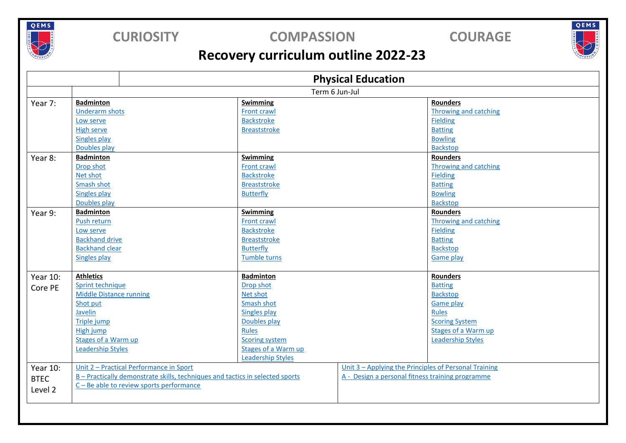

### **CURIOSITY COMPASSION COURAGE**

QEMS

## **Recovery curriculum outline 2022-23**

|                                                     | <b>Physical Education</b>                                                     |                          |                                                       |  |
|-----------------------------------------------------|-------------------------------------------------------------------------------|--------------------------|-------------------------------------------------------|--|
|                                                     | Term 6 Jun-Jul                                                                |                          |                                                       |  |
| Year 7:                                             | <b>Badminton</b>                                                              | <b>Swimming</b>          | <b>Rounders</b>                                       |  |
|                                                     | <b>Underarm shots</b>                                                         | Front crawl              | <b>Throwing and catching</b>                          |  |
|                                                     | Low serve                                                                     | <b>Backstroke</b>        | <b>Fielding</b>                                       |  |
|                                                     | <b>High serve</b>                                                             | <b>Breaststroke</b>      | <b>Batting</b>                                        |  |
|                                                     | Singles play                                                                  |                          | <b>Bowling</b>                                        |  |
|                                                     | Doubles play                                                                  |                          | <b>Backstop</b>                                       |  |
| Year 8:                                             | <b>Badminton</b>                                                              | Swimming                 | <b>Rounders</b>                                       |  |
|                                                     | Drop shot                                                                     | Front crawl              | <b>Throwing and catching</b>                          |  |
|                                                     | Net shot                                                                      | <b>Backstroke</b>        | <b>Fielding</b>                                       |  |
|                                                     | Smash shot                                                                    | <b>Breaststroke</b>      | <b>Batting</b>                                        |  |
|                                                     | <b>Singles play</b>                                                           | Butterfly                | <b>Bowling</b>                                        |  |
|                                                     | Doubles play                                                                  |                          | <b>Backstop</b>                                       |  |
| Year 9:                                             | <b>Badminton</b>                                                              | <b>Swimming</b>          | <b>Rounders</b>                                       |  |
|                                                     | Push return                                                                   | Front crawl              | Throwing and catching                                 |  |
|                                                     | Low serve                                                                     | <b>Backstroke</b>        | <b>Fielding</b>                                       |  |
|                                                     | <b>Backhand drive</b>                                                         | <b>Breaststroke</b>      | <b>Batting</b>                                        |  |
|                                                     | <b>Backhand clear</b>                                                         | <b>Butterfly</b>         | <b>Backstop</b>                                       |  |
|                                                     | Singles play                                                                  | <b>Tumble turns</b>      | <b>Game play</b>                                      |  |
|                                                     |                                                                               |                          |                                                       |  |
| Year 10:                                            | <b>Athletics</b>                                                              | <b>Badminton</b>         | <b>Rounders</b>                                       |  |
| Core PE                                             | Sprint technique                                                              | Drop shot                | <b>Batting</b>                                        |  |
|                                                     | <b>Middle Distance running</b>                                                | Net shot                 | <b>Backstop</b>                                       |  |
|                                                     | Shot put                                                                      | Smash shot               | <b>Game play</b>                                      |  |
|                                                     | Javelin                                                                       | Singles play             | <b>Rules</b>                                          |  |
|                                                     | Triple jump                                                                   | Doubles play             | <b>Scoring System</b>                                 |  |
|                                                     | High jump                                                                     | Rules                    | Stages of a Warm up                                   |  |
|                                                     | Stages of a Warm up                                                           | <b>Scoring system</b>    | <b>Leadership Styles</b>                              |  |
|                                                     | <b>Leadership Styles</b>                                                      | Stages of a Warm up      |                                                       |  |
|                                                     |                                                                               | <b>Leadership Styles</b> |                                                       |  |
| <b>Year 10:</b>                                     | Unit 2 - Practical Performance in Sport                                       |                          | Unit 3 - Applying the Principles of Personal Training |  |
| <b>BTEC</b>                                         | B - Practically demonstrate skills, techniques and tactics in selected sports |                          | A - Design a personal fitness training programme      |  |
| C - Be able to review sports performance<br>Level 2 |                                                                               |                          |                                                       |  |
|                                                     |                                                                               |                          |                                                       |  |
|                                                     |                                                                               |                          |                                                       |  |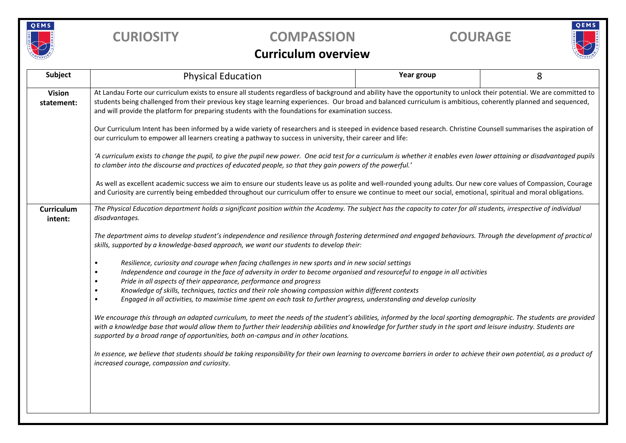

## **CURIOSITY COMPASSION COURAGE**

# QEMS

#### **Curriculum overview**

| <b>Subject</b>               | <b>Physical Education</b>                                                                                                                                                                                                                                                                                                                                                                                                                      | Year group | 8 |  |  |
|------------------------------|------------------------------------------------------------------------------------------------------------------------------------------------------------------------------------------------------------------------------------------------------------------------------------------------------------------------------------------------------------------------------------------------------------------------------------------------|------------|---|--|--|
| <b>Vision</b><br>statement:  | At Landau Forte our curriculum exists to ensure all students regardless of background and ability have the opportunity to unlock their potential. We are committed to<br>students being challenged from their previous key stage learning experiences. Our broad and balanced curriculum is ambitious, coherently planned and sequenced,<br>and will provide the platform for preparing students with the foundations for examination success. |            |   |  |  |
|                              | Our Curriculum Intent has been informed by a wide variety of researchers and is steeped in evidence based research. Christine Counsell summarises the aspiration of<br>our curriculum to empower all learners creating a pathway to success in university, their career and life:                                                                                                                                                              |            |   |  |  |
|                              | 'A curriculum exists to change the pupil, to give the pupil new power. One acid test for a curriculum is whether it enables even lower attaining or disadvantaged pupils<br>to clamber into the discourse and practices of educated people, so that they gain powers of the powerful.'                                                                                                                                                         |            |   |  |  |
|                              | As well as excellent academic success we aim to ensure our students leave us as polite and well-rounded young adults. Our new core values of Compassion, Courage<br>and Curiosity are currently being embedded throughout our curriculum offer to ensure we continue to meet our social, emotional, spiritual and moral obligations.                                                                                                           |            |   |  |  |
| <b>Curriculum</b><br>intent: | The Physical Education department holds a significant position within the Academy. The subject has the capacity to cater for all students, irrespective of individual<br>disadvantages.                                                                                                                                                                                                                                                        |            |   |  |  |
|                              | The department aims to develop student's independence and resilience through fostering determined and engaged behaviours. Through the development of practical<br>skills, supported by a knowledge-based approach, we want our students to develop their:                                                                                                                                                                                      |            |   |  |  |
|                              | Resilience, curiosity and courage when facing challenges in new sports and in new social settings<br>$\bullet$<br>Independence and courage in the face of adversity in order to become organised and resourceful to engage in all activities<br>Pride in all aspects of their appearance, performance and progress<br>$\bullet$                                                                                                                |            |   |  |  |
|                              | Knowledge of skills, techniques, tactics and their role showing compassion within different contexts<br>$\bullet$<br>Engaged in all activities, to maximise time spent on each task to further progress, understanding and develop curiosity<br>$\bullet$                                                                                                                                                                                      |            |   |  |  |
|                              | We encourage this through an adapted curriculum, to meet the needs of the student's abilities, informed by the local sporting demographic. The students are provided<br>with a knowledge base that would allow them to further their leadership abilities and knowledge for further study in the sport and leisure industry. Students are<br>supported by a broad range of opportunities, both on-campus and in other locations.               |            |   |  |  |
|                              | In essence, we believe that students should be taking responsibility for their own learning to overcome barriers in order to achieve their own potential, as a product of<br>increased courage, compassion and curiosity.                                                                                                                                                                                                                      |            |   |  |  |
|                              |                                                                                                                                                                                                                                                                                                                                                                                                                                                |            |   |  |  |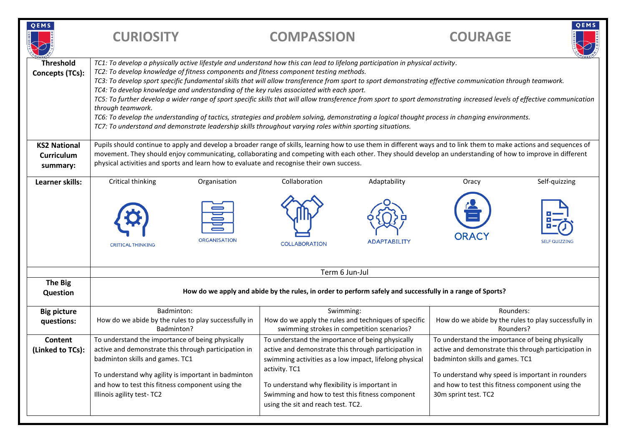| QEMS                                                 | <b>CURIOSITY</b>                                                                                                                                                                                                                                                                                                                                                                                                                                                                                                                                                                                                                                                                                                                                                                                                                                                                                                                                     | <b>COMPASSION</b>                                                                                                                                                                                                                                                                                                             | <b>COURAGE</b>                                                                                                                                                                                                                                                              | QEMS          |
|------------------------------------------------------|------------------------------------------------------------------------------------------------------------------------------------------------------------------------------------------------------------------------------------------------------------------------------------------------------------------------------------------------------------------------------------------------------------------------------------------------------------------------------------------------------------------------------------------------------------------------------------------------------------------------------------------------------------------------------------------------------------------------------------------------------------------------------------------------------------------------------------------------------------------------------------------------------------------------------------------------------|-------------------------------------------------------------------------------------------------------------------------------------------------------------------------------------------------------------------------------------------------------------------------------------------------------------------------------|-----------------------------------------------------------------------------------------------------------------------------------------------------------------------------------------------------------------------------------------------------------------------------|---------------|
| <b>Threshold</b><br>Concepts (TCs):                  | TC1: To develop a physically active lifestyle and understand how this can lead to lifelong participation in physical activity.<br>TC2: To develop knowledge of fitness components and fitness component testing methods.<br>TC3: To develop sport specific fundamental skills that will allow transference from sport to sport demonstrating effective communication through teamwork.<br>TC4: To develop knowledge and understanding of the key rules associated with each sport.<br>TC5: To further develop a wider range of sport specific skills that will allow transference from sport to sport demonstrating increased levels of effective communication<br>through teamwork.<br>TC6: To develop the understanding of tactics, strategies and problem solving, demonstrating a logical thought process in changing environments.<br>TC7: To understand and demonstrate leadership skills throughout varying roles within sporting situations. |                                                                                                                                                                                                                                                                                                                               |                                                                                                                                                                                                                                                                             |               |
| <b>KS2 National</b><br><b>Curriculum</b><br>summary: | Pupils should continue to apply and develop a broader range of skills, learning how to use them in different ways and to link them to make actions and sequences of<br>movement. They should enjoy communicating, collaborating and competing with each other. They should develop an understanding of how to improve in different<br>physical activities and sports and learn how to evaluate and recognise their own success.                                                                                                                                                                                                                                                                                                                                                                                                                                                                                                                      |                                                                                                                                                                                                                                                                                                                               |                                                                                                                                                                                                                                                                             |               |
| Learner skills:                                      | Critical thinking<br>Organisation                                                                                                                                                                                                                                                                                                                                                                                                                                                                                                                                                                                                                                                                                                                                                                                                                                                                                                                    | Collaboration<br>Adaptability                                                                                                                                                                                                                                                                                                 | Oracy                                                                                                                                                                                                                                                                       | Self-quizzing |
|                                                      | <b>ORGANISATION</b><br><b>CRITICAL THINKING</b>                                                                                                                                                                                                                                                                                                                                                                                                                                                                                                                                                                                                                                                                                                                                                                                                                                                                                                      | <b>ADAPTABILITY</b><br><b>COLLABORATION</b>                                                                                                                                                                                                                                                                                   | <b>ORACY</b>                                                                                                                                                                                                                                                                | SELF QUIZZING |
|                                                      | Term 6 Jun-Jul                                                                                                                                                                                                                                                                                                                                                                                                                                                                                                                                                                                                                                                                                                                                                                                                                                                                                                                                       |                                                                                                                                                                                                                                                                                                                               |                                                                                                                                                                                                                                                                             |               |
| The Big<br>Question                                  | How do we apply and abide by the rules, in order to perform safely and successfully in a range of Sports?                                                                                                                                                                                                                                                                                                                                                                                                                                                                                                                                                                                                                                                                                                                                                                                                                                            |                                                                                                                                                                                                                                                                                                                               |                                                                                                                                                                                                                                                                             |               |
| <b>Big picture</b><br>questions:                     | Badminton:<br>How do we abide by the rules to play successfully in<br>Badminton?                                                                                                                                                                                                                                                                                                                                                                                                                                                                                                                                                                                                                                                                                                                                                                                                                                                                     | Swimming:<br>How do we apply the rules and techniques of specific<br>swimming strokes in competition scenarios?                                                                                                                                                                                                               | Rounders:<br>How do we abide by the rules to play successfully in<br>Rounders?                                                                                                                                                                                              |               |
| <b>Content</b><br>(Linked to TCs):                   | To understand the importance of being physically<br>active and demonstrate this through participation in<br>badminton skills and games. TC1<br>To understand why agility is important in badminton<br>and how to test this fitness component using the<br>Illinois agility test-TC2                                                                                                                                                                                                                                                                                                                                                                                                                                                                                                                                                                                                                                                                  | To understand the importance of being physically<br>active and demonstrate this through participation in<br>swimming activities as a low impact, lifelong physical<br>activity. TC1<br>To understand why flexibility is important in<br>Swimming and how to test this fitness component<br>using the sit and reach test. TC2. | To understand the importance of being physically<br>active and demonstrate this through participation in<br>badminton skills and games. TC1<br>To understand why speed is important in rounders<br>and how to test this fitness component using the<br>30m sprint test. TC2 |               |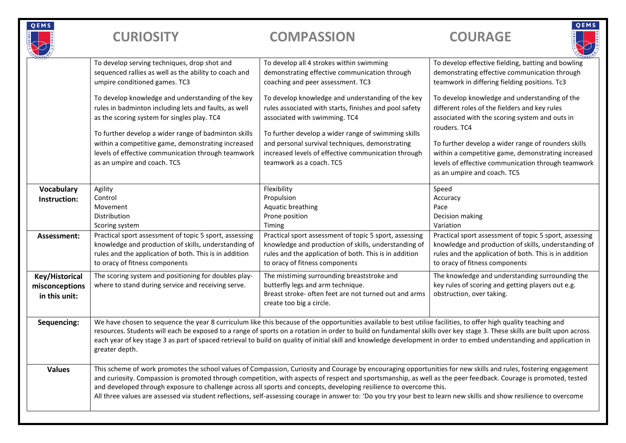| QEMS                                              | <b>CURIOSITY</b>                                                                                                                                                                                                                                                                                                                                                                                                                                                                                                                         | <b>COMPASSION</b>                                                                                                                                                                                                                                                                                                                                                                                                                                                                                                                                                                                                                  | QEMS<br><b>COURAGE</b>                                                                                                                                                                                     |
|---------------------------------------------------|------------------------------------------------------------------------------------------------------------------------------------------------------------------------------------------------------------------------------------------------------------------------------------------------------------------------------------------------------------------------------------------------------------------------------------------------------------------------------------------------------------------------------------------|------------------------------------------------------------------------------------------------------------------------------------------------------------------------------------------------------------------------------------------------------------------------------------------------------------------------------------------------------------------------------------------------------------------------------------------------------------------------------------------------------------------------------------------------------------------------------------------------------------------------------------|------------------------------------------------------------------------------------------------------------------------------------------------------------------------------------------------------------|
|                                                   | To develop serving techniques, drop shot and<br>sequenced rallies as well as the ability to coach and<br>umpire conditioned games. TC3                                                                                                                                                                                                                                                                                                                                                                                                   | To develop all 4 strokes within swimming<br>demonstrating effective communication through<br>coaching and peer assessment. TC3                                                                                                                                                                                                                                                                                                                                                                                                                                                                                                     | To develop effective fielding, batting and bowling<br>demonstrating effective communication through<br>teamwork in differing fielding positions. Tc3                                                       |
|                                                   | To develop knowledge and understanding of the key<br>rules in badminton including lets and faults, as well<br>as the scoring system for singles play. TC4                                                                                                                                                                                                                                                                                                                                                                                | To develop knowledge and understanding of the key<br>rules associated with starts, finishes and pool safety<br>associated with swimming. TC4                                                                                                                                                                                                                                                                                                                                                                                                                                                                                       | To develop knowledge and understanding of the<br>different roles of the fielders and key rules<br>associated with the scoring system and outs in<br>rouders. TC4                                           |
|                                                   | To further develop a wider range of badminton skills<br>within a competitive game, demonstrating increased<br>levels of effective communication through teamwork<br>as an umpire and coach. TC5                                                                                                                                                                                                                                                                                                                                          | To further develop a wider range of swimming skills<br>and personal survival techniques, demonstrating<br>increased levels of effective communication through<br>teamwork as a coach. TC5                                                                                                                                                                                                                                                                                                                                                                                                                                          | To further develop a wider range of rounders skills<br>within a competitive game, demonstrating increased<br>levels of effective communication through teamwork<br>as an umpire and coach. TC5             |
| <b>Vocabulary</b><br>Instruction:                 | Agility<br>Control<br>Movement<br>Distribution<br>Scoring system                                                                                                                                                                                                                                                                                                                                                                                                                                                                         | Flexibility<br>Propulsion<br>Aquatic breathing<br>Prone position<br>Timing                                                                                                                                                                                                                                                                                                                                                                                                                                                                                                                                                         | Speed<br>Accuracy<br>Pace<br>Decision making<br>Variation                                                                                                                                                  |
| Assessment:                                       | Practical sport assessment of topic 5 sport, assessing<br>knowledge and production of skills, understanding of<br>rules and the application of both. This is in addition<br>to oracy of fitness components                                                                                                                                                                                                                                                                                                                               | Practical sport assessment of topic 5 sport, assessing<br>knowledge and production of skills, understanding of<br>rules and the application of both. This is in addition<br>to oracy of fitness components                                                                                                                                                                                                                                                                                                                                                                                                                         | Practical sport assessment of topic 5 sport, assessing<br>knowledge and production of skills, understanding of<br>rules and the application of both. This is in addition<br>to oracy of fitness components |
| Key/Historical<br>misconceptions<br>in this unit: | The scoring system and positioning for doubles play-<br>where to stand during service and receiving serve.                                                                                                                                                                                                                                                                                                                                                                                                                               | The mistiming surrounding breaststroke and<br>butterfly legs and arm technique.<br>Breast stroke- often feet are not turned out and arms<br>create too big a circle.                                                                                                                                                                                                                                                                                                                                                                                                                                                               | The knowledge and understanding surrounding the<br>key rules of scoring and getting players out e.g.<br>obstruction, over taking.                                                                          |
| Sequencing:                                       | We have chosen to sequence the year 8 curriculum like this because of the opportunities available to best utilise facilities, to offer high quality teaching and<br>resources. Students will each be exposed to a range of sports on a rotation in order to build on fundamental skills over key stage 3. These skills are built upon across<br>each year of key stage 3 as part of spaced retrieval to build on quality of initial skill and knowledge development in order to embed understanding and application in<br>greater depth. |                                                                                                                                                                                                                                                                                                                                                                                                                                                                                                                                                                                                                                    |                                                                                                                                                                                                            |
| <b>Values</b>                                     |                                                                                                                                                                                                                                                                                                                                                                                                                                                                                                                                          | This scheme of work promotes the school values of Compassion, Curiosity and Courage by encouraging opportunities for new skills and rules, fostering engagement<br>and curiosity. Compassion is promoted through competition, with aspects of respect and sportsmanship, as well as the peer feedback. Courage is promoted, tested<br>and developed through exposure to challenge across all sports and concepts, developing resilience to overcome this.<br>All three values are assessed via student reflections, self-assessing courage in answer to: 'Do you try your best to learn new skills and show resilience to overcome |                                                                                                                                                                                                            |